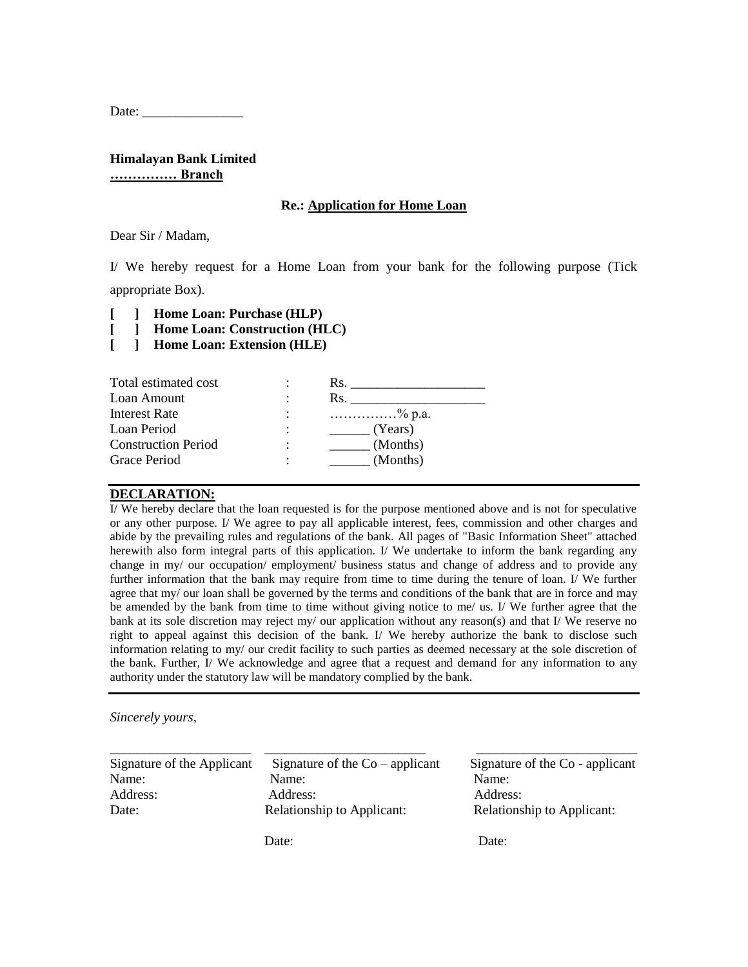Date:

**Himalayan Bank Limited …………… Branch**

#### **Re.: Application for Home Loan**

Dear Sir / Madam,

I/ We hereby request for a Home Loan from your bank for the following purpose (Tick appropriate Box).

**[ ] Home Loan: Purchase (HLP)**

- **[ ] Home Loan: Construction (HLC)**
- **[ ] Home Loan: Extension (HLE)**

| Rs.                                                             |
|-----------------------------------------------------------------|
| Rs.                                                             |
| $\ldots \ldots \ldots \ldots \ldots \ldots \ldots \otimes p.a.$ |
| (Years)                                                         |
| (Months)                                                        |
| (Months)                                                        |
|                                                                 |

### **DECLARATION:**

I/ We hereby declare that the loan requested is for the purpose mentioned above and is not for speculative or any other purpose. I/ We agree to pay all applicable interest, fees, commission and other charges and abide by the prevailing rules and regulations of the bank. All pages of "Basic Information Sheet" attached herewith also form integral parts of this application. I/ We undertake to inform the bank regarding any change in my/ our occupation/ employment/ business status and change of address and to provide any further information that the bank may require from time to time during the tenure of loan. I/ We further agree that my/ our loan shall be governed by the terms and conditions of the bank that are in force and may be amended by the bank from time to time without giving notice to me/ us. I/ We further agree that the bank at its sole discretion may reject my/ our application without any reason(s) and that I/ We reserve no right to appeal against this decision of the bank. I/ We hereby authorize the bank to disclose such information relating to my/ our credit facility to such parties as deemed necessary at the sole discretion of the bank. Further, I/ We acknowledge and agree that a request and demand for any information to any authority under the statutory law will be mandatory complied by the bank.

*\_\_\_\_\_\_\_\_\_\_\_\_\_\_\_\_\_\_\_\_\_* \_\_\_\_\_\_\_\_\_\_\_\_\_\_\_\_\_\_\_\_\_\_\_\_ \_\_\_\_\_\_\_\_\_\_\_\_\_\_\_\_\_\_\_\_\_\_\_\_

*Sincerely yours,*

Signature of the Applicant Signature of the  $Co$  – applicant Signature of the  $Co$  - applicant Name: Name: Name: Name: Name: Name: Name: Name: Name: Name: Name: Name: Name: Name: Name: Name: Name: Name: Name: Name: Name: Name: Name: Name: Name: Name: Name: Name: Name: Name: Name: Name: Name: Name: Name: Name: Name: Address: Address: Address: Address: Address: Date: Relationship to Applicant: Relationship to Applicant:

Date: Date: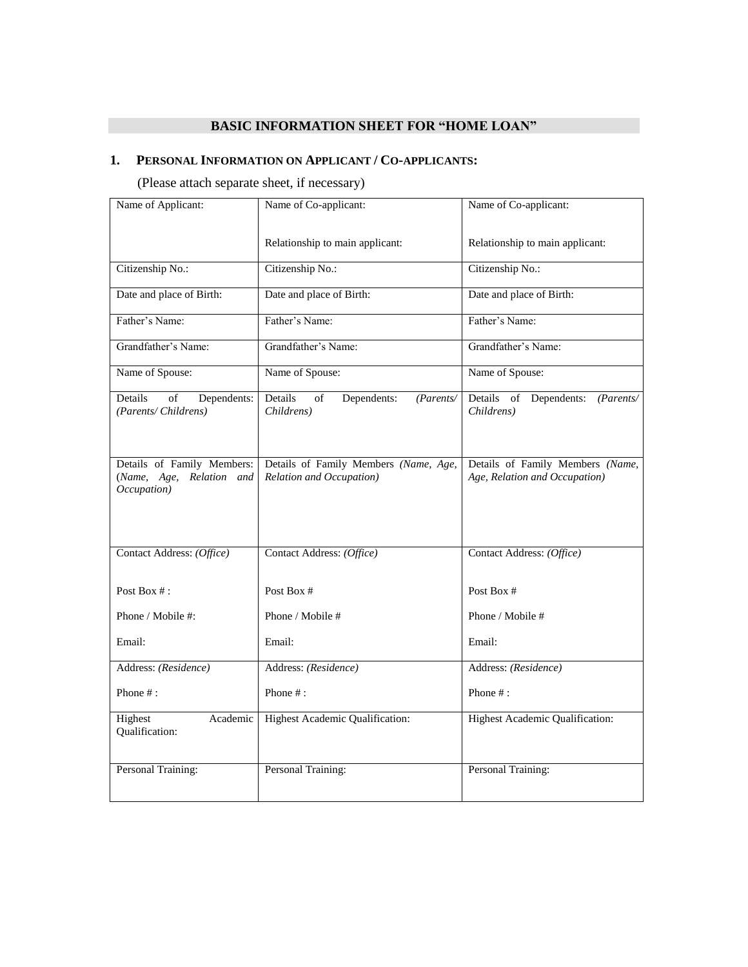# **BASIC INFORMATION SHEET FOR "HOME LOAN"**

## **1. PERSONAL INFORMATION ON APPLICANT / CO-APPLICANTS:**

(Please attach separate sheet, if necessary)

| Name of Applicant:                                                    | Name of Co-applicant:                                             | Name of Co-applicant:                                             |
|-----------------------------------------------------------------------|-------------------------------------------------------------------|-------------------------------------------------------------------|
|                                                                       | Relationship to main applicant:                                   | Relationship to main applicant:                                   |
| Citizenship No.:                                                      | Citizenship No.:                                                  | Citizenship No.:                                                  |
| Date and place of Birth:                                              | Date and place of Birth:                                          | Date and place of Birth:                                          |
| Father's Name:                                                        | Father's Name:                                                    | Father's Name:                                                    |
| Grandfather's Name:                                                   | Grandfather's Name:                                               | Grandfather's Name:                                               |
| Name of Spouse:                                                       | Name of Spouse:                                                   | Name of Spouse:                                                   |
| Details<br>Dependents:<br>of<br>(Parents/Childrens)                   | Details<br>Dependents:<br>of<br>(Parents/<br>Childrens)           | Details of Dependents:<br>(Parents/<br>Childrens)                 |
| Details of Family Members:<br>(Name, Age, Relation and<br>Occupation) | Details of Family Members (Name, Age,<br>Relation and Occupation) | Details of Family Members (Name,<br>Age, Relation and Occupation) |
| Contact Address: (Office)                                             | Contact Address: (Office)                                         | Contact Address: (Office)                                         |
| Post Box $#$ :                                                        | Post Box #                                                        | Post Box #                                                        |
| Phone / Mobile #:                                                     | Phone / Mobile #                                                  | Phone / Mobile #                                                  |
| Email:                                                                | Email:                                                            | Email:                                                            |
| Address: (Residence)                                                  | Address: (Residence)                                              | Address: (Residence)                                              |
| Phone $#$ :                                                           | Phone #:                                                          | Phone $#$ :                                                       |
| Academic<br>Highest<br>Qualification:                                 | Highest Academic Qualification:                                   | Highest Academic Qualification:                                   |
| Personal Training:                                                    | Personal Training:                                                | Personal Training:                                                |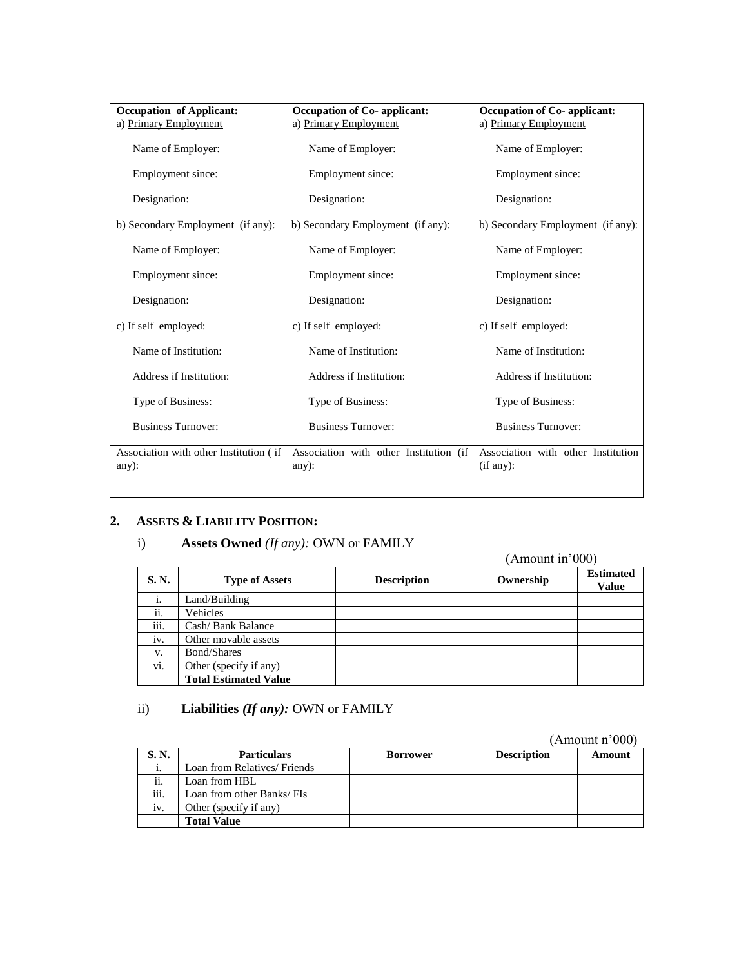| <b>Occupation of Applicant:</b>                    | <b>Occupation of Co-</b> applicant:                | Occupation of Co-applicant:                     |
|----------------------------------------------------|----------------------------------------------------|-------------------------------------------------|
| a) Primary Employment                              | a) Primary Employment                              | a) Primary Employment                           |
| Name of Employer:                                  | Name of Employer:                                  | Name of Employer:                               |
| Employment since:                                  | Employment since:                                  | Employment since:                               |
| Designation:                                       | Designation:                                       | Designation:                                    |
| b) Secondary Employment (if any):                  | b) Secondary Employment (if any):                  | b) Secondary Employment (if any):               |
| Name of Employer:                                  | Name of Employer:                                  | Name of Employer:                               |
| Employment since:                                  | Employment since:                                  | Employment since:                               |
| Designation:                                       | Designation:                                       | Designation:                                    |
| c) If self employed:                               | c) If self employed:                               | c) If self employed:                            |
| Name of Institution:                               | Name of Institution:                               | Name of Institution:                            |
| Address if Institution:                            | Address if Institution:                            | Address if Institution:                         |
| Type of Business:                                  | Type of Business:                                  | Type of Business:                               |
| <b>Business Turnover:</b>                          | <b>Business Turnover:</b>                          | <b>Business Turnover:</b>                       |
| Association with other Institution (if<br>$any)$ : | Association with other Institution (if<br>$any)$ : | Association with other Institution<br>(if any): |

## **2. ASSETS & LIABILITY POSITION:**

## i) **Assets Owned** *(If any):* OWN or FAMILY

#### (Amount in'000) **S. N. Type of Assets Description Ownership Estimated Constant Description Description Description Estimated Value** i. Land/Building ii. Vehicles iii. Cash/ Bank Balance iv. Other movable assets v. Bond/Shares vi. Other (specify if any)

## ii) **Liabilities** *(If any):* OWN or FAMILY

**Total Estimated Value**

(Amount n'000)

|       |                              |                 |                    | а мночна поло |
|-------|------------------------------|-----------------|--------------------|---------------|
| S. N. | <b>Particulars</b>           | <b>Borrower</b> | <b>Description</b> | Amount        |
|       | Loan from Relatives/ Friends |                 |                    |               |
| ii.   | Loan from HBL                |                 |                    |               |
| iii.  | Loan from other Banks/ FIs   |                 |                    |               |
| iv.   | Other (specify if any)       |                 |                    |               |
|       | <b>Total Value</b>           |                 |                    |               |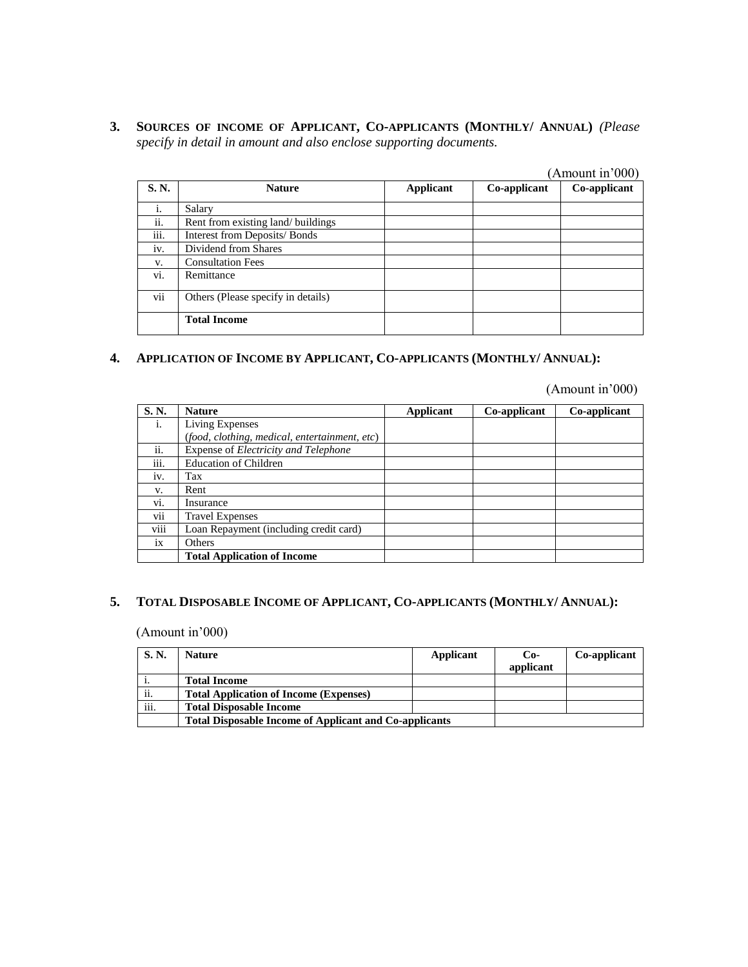**3. SOURCES OF INCOME OF APPLICANT, CO-APPLICANTS (MONTHLY/ ANNUAL)** *(Please specify in detail in amount and also enclose supporting documents.*

|       |                                    |                  |              | (Amount in'000) |
|-------|------------------------------------|------------------|--------------|-----------------|
| S. N. | <b>Nature</b>                      | <b>Applicant</b> | Co-applicant | Co-applicant    |
| i.    | Salary                             |                  |              |                 |
| ii.   | Rent from existing land/ buildings |                  |              |                 |
| iii.  | Interest from Deposits/Bonds       |                  |              |                 |
| iv.   | Dividend from Shares               |                  |              |                 |
| V.    | <b>Consultation Fees</b>           |                  |              |                 |
| vi.   | Remittance                         |                  |              |                 |
| vii   | Others (Please specify in details) |                  |              |                 |
|       | <b>Total Income</b>                |                  |              |                 |

## **4. APPLICATION OF INCOME BY APPLICANT, CO-APPLICANTS (MONTHLY/ ANNUAL):**

(Amount in'000)

| S.N. | <b>Nature</b>                                      | Applicant | Co-applicant | Co-applicant |
|------|----------------------------------------------------|-----------|--------------|--------------|
| i.   | Living Expenses                                    |           |              |              |
|      | (food, clothing, medical, entertainment, etc)      |           |              |              |
| ii.  | Expense of <i>Electricity</i> and <i>Telephone</i> |           |              |              |
| iii. | <b>Education of Children</b>                       |           |              |              |
| iv.  | Tax                                                |           |              |              |
| V.   | Rent                                               |           |              |              |
| vi.  | Insurance                                          |           |              |              |
| vii  | <b>Travel Expenses</b>                             |           |              |              |
| viii | Loan Repayment (including credit card)             |           |              |              |
| ix   | Others                                             |           |              |              |
|      | <b>Total Application of Income</b>                 |           |              |              |

## **5. TOTAL DISPOSABLE INCOME OF APPLICANT, CO-APPLICANTS (MONTHLY/ ANNUAL):**

(Amount in'000)

| <b>S.N.</b>      | <b>Nature</b>                                                 | Applicant | $Co-$     | Co-applicant |
|------------------|---------------------------------------------------------------|-----------|-----------|--------------|
|                  |                                                               |           | applicant |              |
| 1.               | <b>Total Income</b>                                           |           |           |              |
| $\cdot$ .<br>11. | <b>Total Application of Income (Expenses)</b>                 |           |           |              |
| $\cdots$<br>111. | <b>Total Disposable Income</b>                                |           |           |              |
|                  | <b>Total Disposable Income of Applicant and Co-applicants</b> |           |           |              |